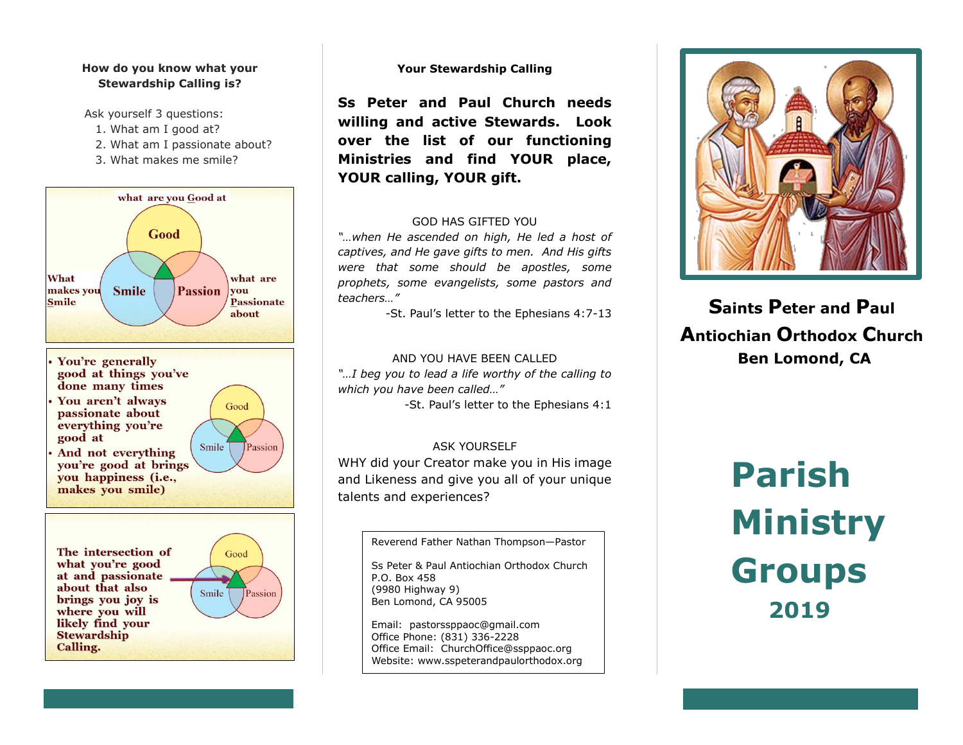# **How do you know what your Stewardship Calling is?**

Ask yourself 3 questions:

- 1. What am I good at?
- 2. What am I passionate about?
- 3. What makes me smile?



likely find your **Stewardship Calling.** 

# **Your Stewardship Calling**

**Ss Peter and Paul Church needs willing and active Stewards. Look over the list of our functioning Ministries and find YOUR place, YOUR calling, YOUR gift.**

# GOD HAS GIFTED YOU

*"…when He ascended on high, He led a host of captives, and He gave gifts to men. And His gifts were that some should be apostles, some prophets, some evangelists, some pastors and teachers…"* 

-St. Paul's letter to the Ephesians 4:7-13

# AND YOU HAVE BEEN CALLED

*"…I beg you to lead a life worthy of the calling to which you have been called…"* 

-St. Paul's letter to the Ephesians 4:1

# ASK YOURSELF

WHY did your Creator make you in His image and Likeness and give you all of your unique talents and experiences?

Reverend Father Nathan Thompson—Pastor

Ss Peter & Paul Antiochian Orthodox Church P.O. Box 458 (9980 Highway 9) Ben Lomond, CA 95005

Email: [pastorssppaoc@gmail.com](mailto:pastorssppaoc@gmail.com) Office Phone: (831) 336-2228 Office Email: [ChurchOffice@ssppaoc.org](mailto:ChurchOffice@ssppaoc.org) Website: www.sspeterandpaulorthodox.org



**Saints Peter and Paul Antiochian Orthodox Church Ben Lomond, CA**

# **Parish Ministry Groups 2019**